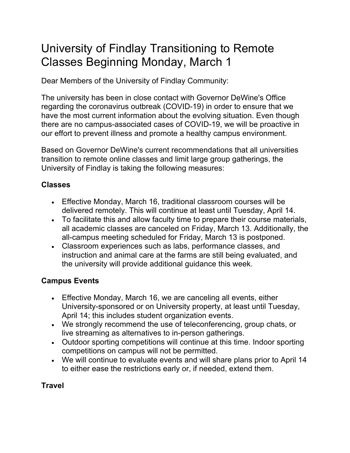# University of Findlay Transitioning to Remote Classes Beginning Monday, March 1

Dear Members of the University of Findlay Community:

The university has been in close contact with Governor DeWine's Office regarding the coronavirus outbreak (COVID-19) in order to ensure that we have the most current information about the evolving situation. Even though there are no campus-associated cases of COVID-19, we will be proactive in our effort to prevent illness and promote a healthy campus environment.

Based on Governor DeWine's current recommendations that all universities transition to remote online classes and limit large group gatherings, the University of Findlay is taking the following measures:

### **Classes**

- Effective Monday, March 16, traditional classroom courses will be delivered remotely. This will continue at least until Tuesday, April 14.
- To facilitate this and allow faculty time to prepare their course materials, all academic classes are canceled on Friday, March 13. Additionally, the all-campus meeting scheduled for Friday, March 13 is postponed.
- Classroom experiences such as labs, performance classes, and instruction and animal care at the farms are still being evaluated, and the university will provide additional guidance this week.

## **Campus Events**

- Effective Monday, March 16, we are canceling all events, either University-sponsored or on University property, at least until Tuesday, April 14; this includes student organization events.
- We strongly recommend the use of teleconferencing, group chats, or live streaming as alternatives to in-person gatherings.
- Outdoor sporting competitions will continue at this time. Indoor sporting competitions on campus will not be permitted.
- We will continue to evaluate events and will share plans prior to April 14 to either ease the restrictions early or, if needed, extend them.

#### **Travel**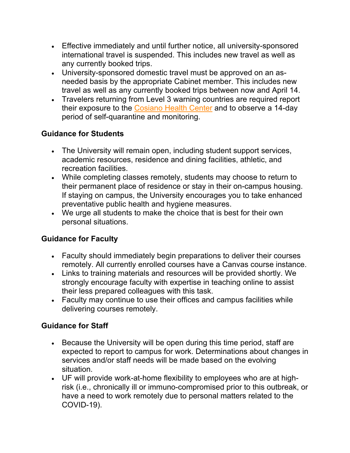- Effective immediately and until further notice, all university-sponsored international travel is suspended. This includes new travel as well as any currently booked trips.
- University-sponsored domestic travel must be approved on an asneeded basis by the appropriate Cabinet member. This includes new travel as well as any currently booked trips between now and April 14.
- Travelers returning from Level 3 warning countries are required report their exposure to the Cosiano Health Center and to observe a 14-day period of self-quarantine and monitoring.

#### **Guidance for Students**

- The University will remain open, including student support services, academic resources, residence and dining facilities, athletic, and recreation facilities.
- While completing classes remotely, students may choose to return to their permanent place of residence or stay in their on-campus housing. If staying on campus, the University encourages you to take enhanced preventative public health and hygiene measures.
- We urge all students to make the choice that is best for their own personal situations.

#### **Guidance for Faculty**

- Faculty should immediately begin preparations to deliver their courses remotely. All currently enrolled courses have a Canvas course instance.
- Links to training materials and resources will be provided shortly. We strongly encourage faculty with expertise in teaching online to assist their less prepared colleagues with this task.
- Faculty may continue to use their offices and campus facilities while delivering courses remotely.

#### **Guidance for Staff**

- Because the University will be open during this time period, staff are expected to report to campus for work. Determinations about changes in services and/or staff needs will be made based on the evolving situation.
- UF will provide work-at-home flexibility to employees who are at highrisk (i.e., chronically ill or immuno-compromised prior to this outbreak, or have a need to work remotely due to personal matters related to the COVID-19).